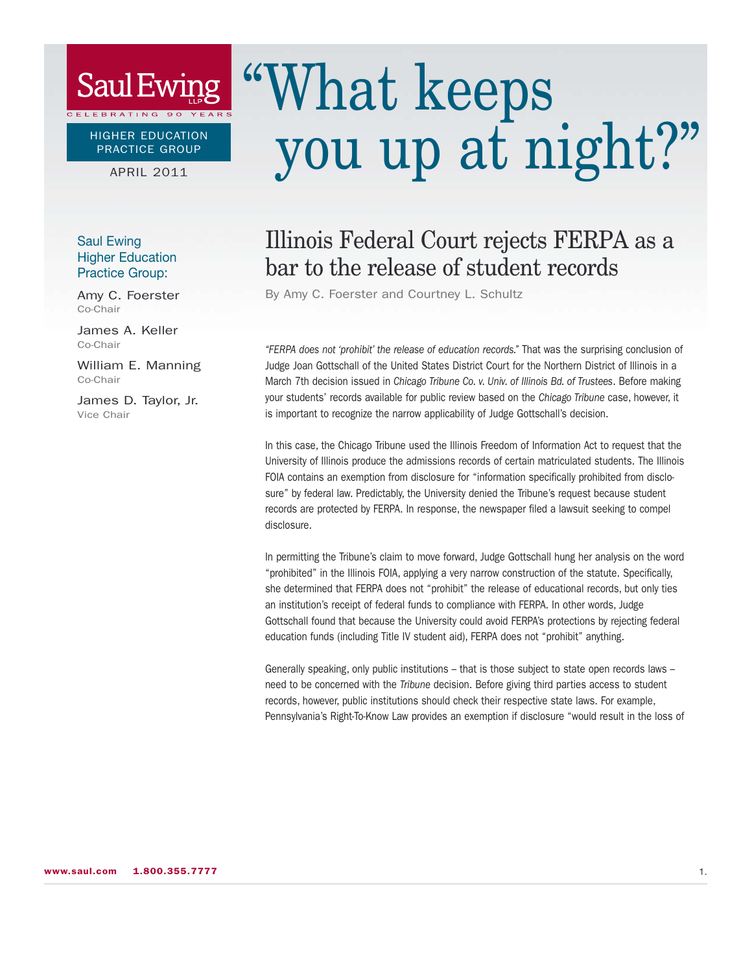## **Saul Ewing**

HIGHER EDUCATION PRACTICE GROUP

BRATING 90

APRIL 2011

#### Saul Ewing Higher Education Practice Group:

Amy C. Foerster Co-Chair

James A. Keller Co-Chair

William E. Manning Co-Chair

James D. Taylor, Jr. Vice Chair

# "What keeps you up at night?"

## Illinois Federal Court rejects FERPA as a bar to the release of student records

By Amy C. Foerster and Courtney L. Schultz

"FERPA does not 'prohibit' the release of education records." That was the surprising conclusion of Judge Joan Gottschall of the United States District Court for the Northern District of Illinois in a March 7th decision issued in Chicago Tribune Co. v. Univ. of Illinois Bd. of Trustees. Before making your students' records available for public review based on the Chicago Tribune case, however, it is important to recognize the narrow applicability of Judge Gottschall's decision.

In this case, the Chicago Tribune used the Illinois Freedom of Information Act to request that the University of Illinois produce the admissions records of certain matriculated students. The Illinois FOIA contains an exemption from disclosure for "information specifically prohibited from disclosure" by federal law. Predictably, the University denied the Tribune's request because student records are protected by FERPA. In response, the newspaper filed a lawsuit seeking to compel disclosure.

In permitting the Tribune's claim to move forward, Judge Gottschall hung her analysis on the word "prohibited" in the Illinois FOIA, applying a very narrow construction of the statute. Specifically, she determined that FERPA does not "prohibit" the release of educational records, but only ties an institution's receipt of federal funds to compliance with FERPA. In other words, Judge Gottschall found that because the University could avoid FERPA's protections by rejecting federal education funds (including Title IV student aid), FERPA does not "prohibit" anything.

Generally speaking, only public institutions – that is those subject to state open records laws – need to be concerned with the Tribune decision. Before giving third parties access to student records, however, public institutions should check their respective state laws. For example, Pennsylvania's Right-To-Know Law provides an exemption if disclosure "would result in the loss of